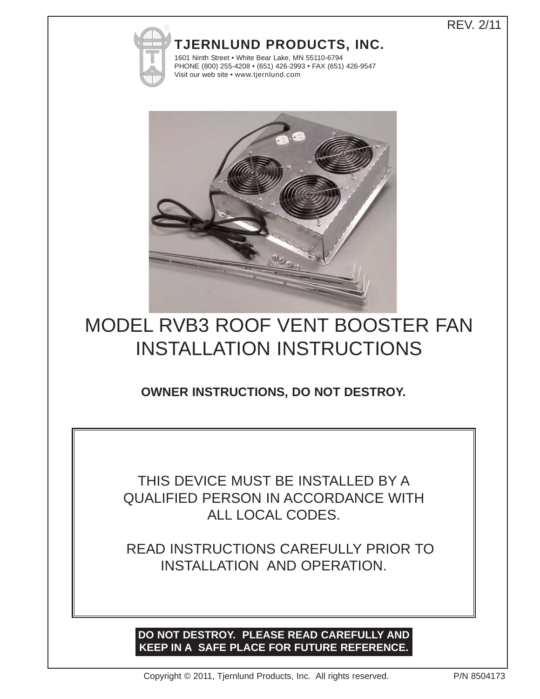## REV. 2/11

## **TJERNLUND PRODUCTS, INC.**



1601 Ninth Street • White Bear Lake, MN 55110-6794 PHONE (800) 255-4208 • (651) 426-2993 • FAX (651) 426-9547 Visit our web site • www.tjernlund.com



# MODEL RVB3 ROOF VENT BOOSTER FAN INSTALLATION INSTRUCTIONS

**OWNER INSTRUCTIONS, DO NOT DESTROY.**

THIS DEVICE MUST BE INSTALLED BY A QUALIFIED PERSON IN ACCORDANCE WITH ALL LOCAL CODES.

READ INSTRUCTIONS CAREFULLY PRIOR TO INSTALLATION AND OPERATION.

## **DO NOT DESTROY. PLEASE READ CAREFULLY AND KEEP IN A SAFE PLACE FOR FUTURE REFERENCE.**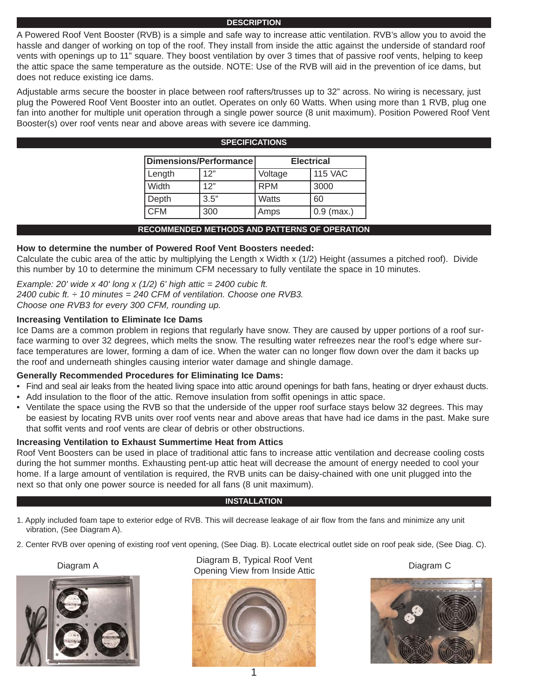#### **DESCRIPTION**

A Powered Roof Vent Booster (RVB) is a simple and safe way to increase attic ventilation. RVB's allow you to avoid the hassle and danger of working on top of the roof. They install from inside the attic against the underside of standard roof vents with openings up to 11" square. They boost ventilation by over 3 times that of passive roof vents, helping to keep the attic space the same temperature as the outside. NOTE: Use of the RVB will aid in the prevention of ice dams, but does not reduce existing ice dams.

Adjustable arms secure the booster in place between roof rafters/trusses up to 32" across. No wiring is necessary, just plug the Powered Roof Vent Booster into an outlet. Operates on only 60 Watts. When using more than 1 RVB, plug one fan into another for multiple unit operation through a single power source (8 unit maximum). Position Powered Roof Vent Booster(s) over roof vents near and above areas with severe ice damming.

**SPECIFICATIONS**

| <b>SPEUIFIUATIUNS</b>  |      |                   |                |
|------------------------|------|-------------------|----------------|
| Dimensions/Performance |      | <b>Electrical</b> |                |
| Length                 | 12"  | Voltage           | <b>115 VAC</b> |
| Width                  | 12"  | <b>RPM</b>        | 3000           |
| Depth                  | 3.5" | <b>Watts</b>      | 60             |
| <b>CFM</b>             | 300  | Amps              | $0.9$ (max.)   |

#### **RECOMMENDED METHODS AND PATTERNS OF OPERATION**

#### **How to determine the number of Powered Roof Vent Boosters needed:**

Calculate the cubic area of the attic by multiplying the Length x Width x (1/2) Height (assumes a pitched roof). Divide this number by 10 to determine the minimum CFM necessary to fully ventilate the space in 10 minutes.

*Example: 20' wide x 40' long x (1/2) 6' high attic = 2400 cubic ft. 2400 cubic ft. ÷ 10 minutes = 240 CFM of ventilation. Choose one RVB3. Choose one RVB3 for every 300 CFM, rounding up.* 

#### **Increasing Ventilation to Eliminate Ice Dams**

Ice Dams are a common problem in regions that regularly have snow. They are caused by upper portions of a roof surface warming to over 32 degrees, which melts the snow. The resulting water refreezes near the roof's edge where surface temperatures are lower, forming a dam of ice. When the water can no longer flow down over the dam it backs up the roof and underneath shingles causing interior water damage and shingle damage.

#### **Generally Recommended Procedures for Eliminating Ice Dams:**

- Find and seal air leaks from the heated living space into attic around openings for bath fans, heating or dryer exhaust ducts.
- Add insulation to the floor of the attic. Remove insulation from soffit openings in attic space.
- Ventilate the space using the RVB so that the underside of the upper roof surface stays below 32 degrees. This may be easiest by locating RVB units over roof vents near and above areas that have had ice dams in the past. Make sure that soffit vents and roof vents are clear of debris or other obstructions.

#### **Increasing Ventilation to Exhaust Summertime Heat from Attics**

Roof Vent Boosters can be used in place of traditional attic fans to increase attic ventilation and decrease cooling costs during the hot summer months. Exhausting pent-up attic heat will decrease the amount of energy needed to cool your home. If a large amount of ventilation is required, the RVB units can be daisy-chained with one unit plugged into the next so that only one power source is needed for all fans (8 unit maximum).

#### **INSTALLATION**

- 1. Apply included foam tape to exterior edge of RVB. This will decrease leakage of air flow from the fans and minimize any unit vibration, (See Diagram A).
- 2. Center RVB over opening of existing roof vent opening, (See Diag. B). Locate electrical outlet side on roof peak side, (See Diag. C).



Diagram A Diagram B, Typical Roof Vent Diagram D, Typical Roof Vent<br>Opening View from Inside Attic